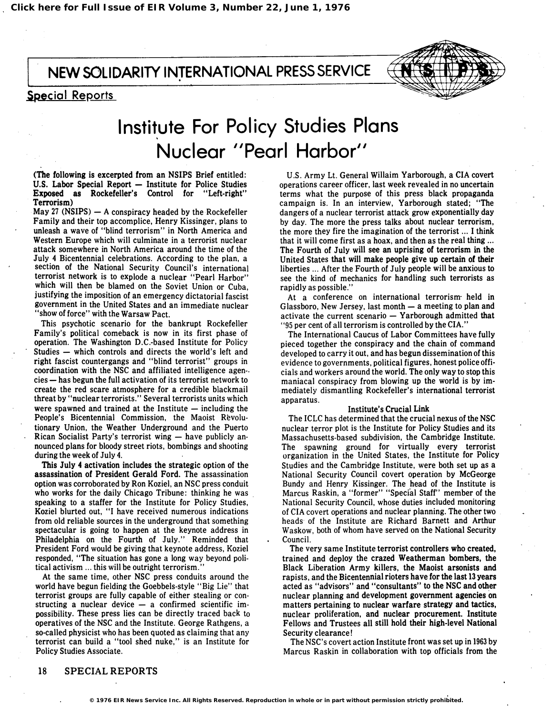NEW SOLIDARITY INTERNATIONAL PRESS SERVICE

# Special Reports



# Institute For Policy Studies Plans Nuclear "Pearl Harbor"

(The following is excerpted from an NSIPS Brief entitled: U.S. Labor Special Report - Institute for Police Studies Exposed as Rockefeller's Control for "Left-right" Terrorism)

May 27 (NSIPS)  $-$  A conspiracy headed by the Rockefeller Family and their top accomplice, Henry Kissinger, plans to unleash a wave of "blind terrorism" in North America and Western Europe which will culminate in a terrorist nuclear attack somewhere in North America around the time of the July 4 Bicentennial celebrations. According to the plan, a section of the National Security Council's international terrorist network is to explode a nuclear "Pearl Harbor" which will then be blamed on the Soviet Union or Cuba, justifying the imposition of an emergency dictatorial fascist government in the United States and an immediate nuclear "show of force" with the Warsaw Pact.

This psychotic scenario for the bankrupt Rockefeller Family's political comeback is now in its first phase of operation. The Washington D.C.-based Institute for Policy Studies - which controls and directs the world's left and right fascist countergangs and "blind terrorist" groups in coordination with the NSC and affiliated intelligence agen $cies$  - has begun the full activation of its terrorist network to create the red scare atmosphere for a credible blackmail threat by "nuclear terrorists." Several terrorists units which were spawned and trained at the Institute  $-$  including the People's Bicentennial Commission, the Maoist Revolutionary Union, the Weather Underground and the Puerto Rican Socialist Party's terrorist wing  $-$  have publicly announced plans for bloody street riots, bombings and shooting during the week of July 4.

This July 4 activation includes the strategic option of the assassination of President Gerald Ford. The assassination option was corroborated by Ron Koziel, an NSC press conduit who works for the daily Chicago Tribune: thinking he was speaking to a staffer for the Institute for Policy Studies, Koziel blurted out, "I have received numerous indications from old reliable sources in the underground that something spectacular is going to happen at the keynote address in Philadelphia on the Fourth of July." Reminded that President Ford would be giving that keynote address, Koziel responded, "The situation has gone a long way beyond political activism ... this will be outright terrorism."

At the same time, other NSC press conduits around the world have begun fielding the Goebbels-style "Big Lie" that terrorist groups are fully capable of either stealing or constructing a nuclear device  $-$  a confirmed scientific impossibility. These press lies can be directly traced back to operatives of the NSC and the Institute. George Rathgens, a so-called physicist who has been quoted as claiming that any terrorist can build a "tool shed nuke," is an Institute for Policy Studies Associate.

U.S. Army Lt. General Willaim Yarborough, a CIA covert operations career officer, last week revealed in no uncertain terms what the purpose of this press black propaganda campaign is. In an interview, Yarborough stated; "The dangers of a nuclear terrorist attack grow exponentially day by day. The more the press talks about nuclear terrorism, the more they fire the imagination of the terrorist ... I think that it will come first as a hoax, and then as the real thing ... The Fourth of July will see an uprising of terrorism in the United States that will make people give up certain of their liberties ... After the Fourth of July people will be anxious to see the kind of mechanics for handling such terrorists as rapidly as possible."

At a conference on international terrorism held in Glassboro, New Jersey, last month  $-$  a meeting to plan and activate the current scenario  $-$  Yarborough admitted that "95 per cent of all terrorism is controlled by the CIA."

The International Caucus of Labor Committees have fully pieced together the conspiracy and the chain of command developed to carry it out, and has begun dissemination of this evidence to governments, political figures, honest police officials and workers around the world. The only way to stop this maniacal conspiracy from blowing up the world is by immediately dismantling Rockefeller's international terrorist apparatus.

## Institute's Crucial Link

The ICLC has determined that the crucial nexus of the NSC nuclear terror plot is the Institute for Policy Studies and its Massachusetts-based subdivision, the Cambridge Institute. The spawning ground for virtually every terrorist organization in the United States, the Institute for Policy Studies and the Cambridge Institute, were both set up as a National Security Council covert operation by McGeorge Bundy and Henry Kissinger. The head of the Institute is Marcus Raskin, a "former" "Special Staff" member of the National Security Council, whose duties included monitoring of CIA covert operations and nuclear planning. The other two ' heads of the Institute are Richard Barnett and Arthur Waskow, both of whom have served on the National Security Council.

The very same Institute terrorist controllers who created, trained and deploy the crazed Weatherman bombers, the Black Liberation Army killers, the Maoist arsonists and rapists, and the Bicentennial rioters have for the last 13 years acted as "advisors" and "consultants" to the NSC and other nuclear planning and development government agencies on matters pertaining to nuclear warfare strategy and tactics, nuclear proliferation, and nuclear procurement. Institute Fellows and Trustees all still hold their high-level National Security clearance!

The NSC's covert action Institute front was set up in 1963 by Marcus Raskin in collaboration with top officials from the

# 18 SPECIAL REPORTS